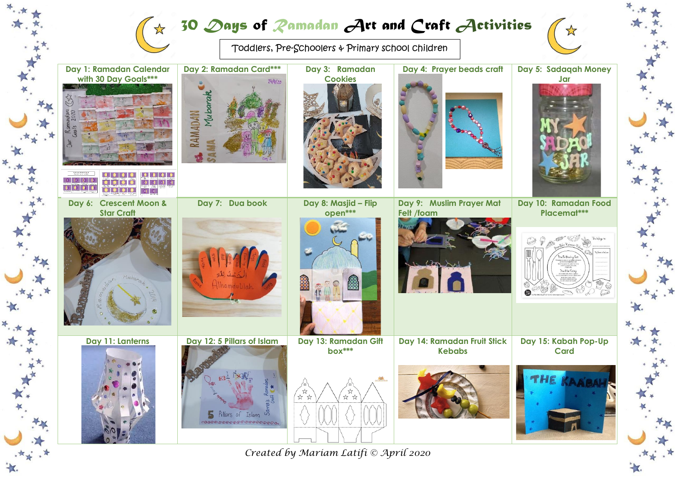## *30 Days of Ramadan Art and Craft Activities*

 $\frac{1}{2}$ 

Toddlers, Pre-Schoolers & Primary school children



*Created by Mariam Latifi © April 2020*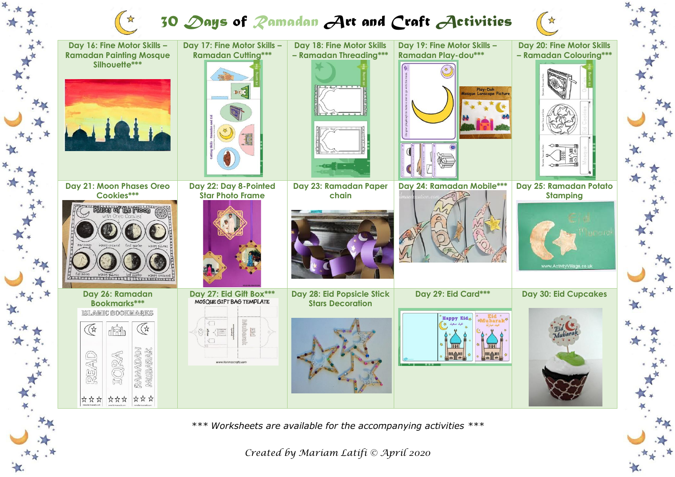## *30 Days of Ramadan Art and Craft Activities*



女女子

*Created by Mariam Latifi © April 2020*